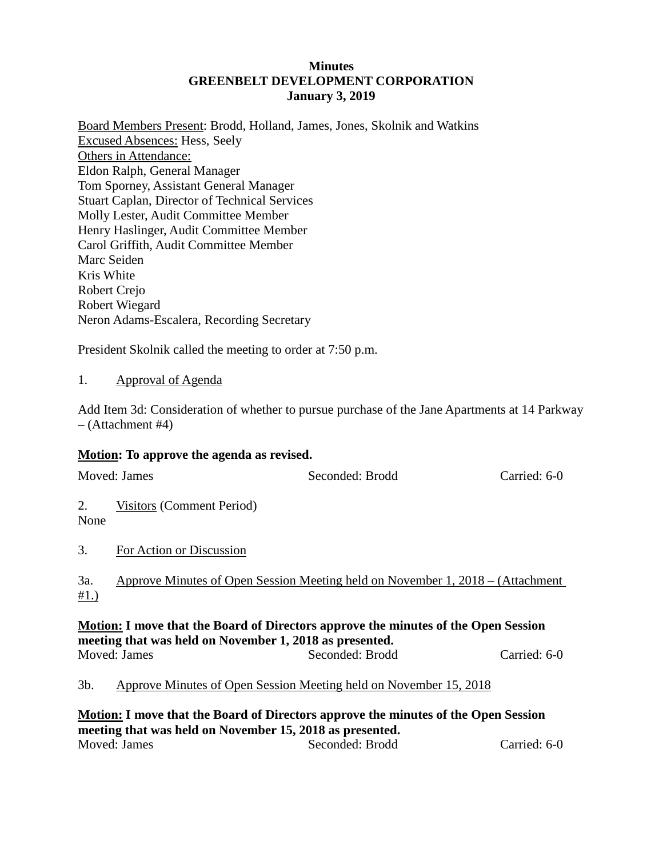### **Minutes GREENBELT DEVELOPMENT CORPORATION January 3, 2019**

Board Members Present: Brodd, Holland, James, Jones, Skolnik and Watkins Excused Absences: Hess, Seely Others in Attendance: Eldon Ralph, General Manager Tom Sporney, Assistant General Manager Stuart Caplan, Director of Technical Services Molly Lester, Audit Committee Member Henry Haslinger, Audit Committee Member Carol Griffith, Audit Committee Member Marc Seiden Kris White Robert Crejo Robert Wiegard Neron Adams-Escalera, Recording Secretary

President Skolnik called the meeting to order at 7:50 p.m.

### 1. Approval of Agenda

Add Item 3d: Consideration of whether to pursue purchase of the Jane Apartments at 14 Parkway – (Attachment #4)

#### **Motion: To approve the agenda as revised.**

| Moved: James                                                                                                                                   |                           | Seconded: Brodd                                                                 | Carried: 6-0 |  |  |  |  |  |
|------------------------------------------------------------------------------------------------------------------------------------------------|---------------------------|---------------------------------------------------------------------------------|--------------|--|--|--|--|--|
| 2.<br>None                                                                                                                                     | Visitors (Comment Period) |                                                                                 |              |  |  |  |  |  |
| 3.                                                                                                                                             | For Action or Discussion  |                                                                                 |              |  |  |  |  |  |
| 3a.<br>#1.)                                                                                                                                    |                           | Approve Minutes of Open Session Meeting held on November 1, 2018 – (Attachment) |              |  |  |  |  |  |
| Motion: I move that the Board of Directors approve the minutes of the Open Session<br>meeting that was held on November 1, 2018 as presented.  |                           |                                                                                 |              |  |  |  |  |  |
|                                                                                                                                                | Moved: James              | Seconded: Brodd                                                                 | Carried: 6-0 |  |  |  |  |  |
| Approve Minutes of Open Session Meeting held on November 15, 2018<br>3b.                                                                       |                           |                                                                                 |              |  |  |  |  |  |
| Motion: I move that the Board of Directors approve the minutes of the Open Session<br>meeting that was held on November 15, 2018 as presented. |                           |                                                                                 |              |  |  |  |  |  |

Moved: James Seconded: Brodd Carried: 6-0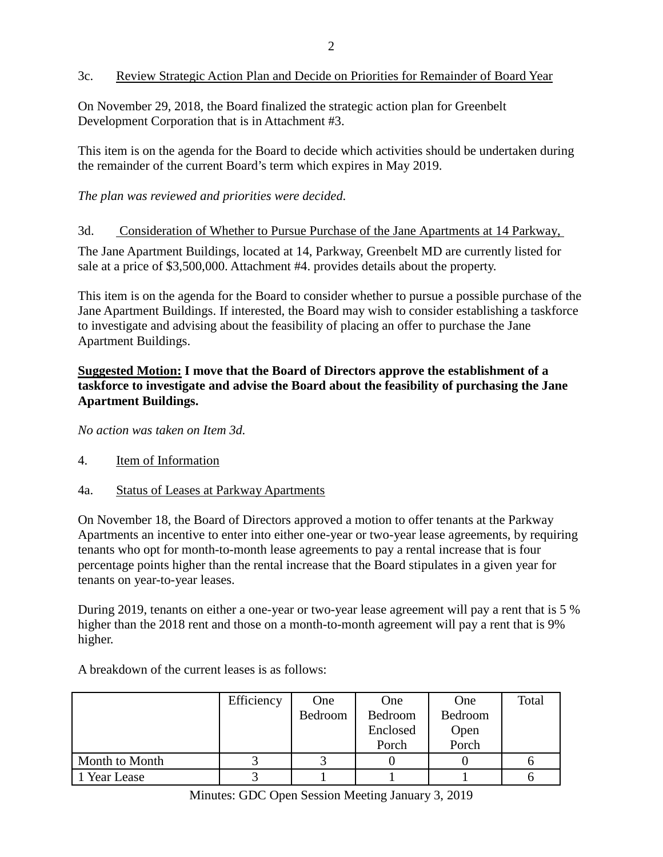## 3c. Review Strategic Action Plan and Decide on Priorities for Remainder of Board Year

On November 29, 2018, the Board finalized the strategic action plan for Greenbelt Development Corporation that is in Attachment #3.

This item is on the agenda for the Board to decide which activities should be undertaken during the remainder of the current Board's term which expires in May 2019.

# *The plan was reviewed and priorities were decided.*

### 3d. Consideration of Whether to Pursue Purchase of the Jane Apartments at 14 Parkway,

The Jane Apartment Buildings, located at 14, Parkway, Greenbelt MD are currently listed for sale at a price of \$3,500,000. Attachment #4. provides details about the property.

This item is on the agenda for the Board to consider whether to pursue a possible purchase of the Jane Apartment Buildings. If interested, the Board may wish to consider establishing a taskforce to investigate and advising about the feasibility of placing an offer to purchase the Jane Apartment Buildings.

# **Suggested Motion: I move that the Board of Directors approve the establishment of a taskforce to investigate and advise the Board about the feasibility of purchasing the Jane Apartment Buildings.**

*No action was taken on Item 3d.*

- 4. Item of Information
- 4a. Status of Leases at Parkway Apartments

On November 18, the Board of Directors approved a motion to offer tenants at the Parkway Apartments an incentive to enter into either one-year or two-year lease agreements, by requiring tenants who opt for month-to-month lease agreements to pay a rental increase that is four percentage points higher than the rental increase that the Board stipulates in a given year for tenants on year-to-year leases.

During 2019, tenants on either a one-year or two-year lease agreement will pay a rent that is 5 % higher than the 2018 rent and those on a month-to-month agreement will pay a rent that is 9% higher.

|                | Efficiency | One     | One      | One     | Total |
|----------------|------------|---------|----------|---------|-------|
|                |            | Bedroom | Bedroom  | Bedroom |       |
|                |            |         | Enclosed | Open    |       |
|                |            |         | Porch    | Porch   |       |
| Month to Month |            |         |          |         |       |
| Year Lease     |            |         |          |         |       |

A breakdown of the current leases is as follows:

Minutes: GDC Open Session Meeting January 3, 2019